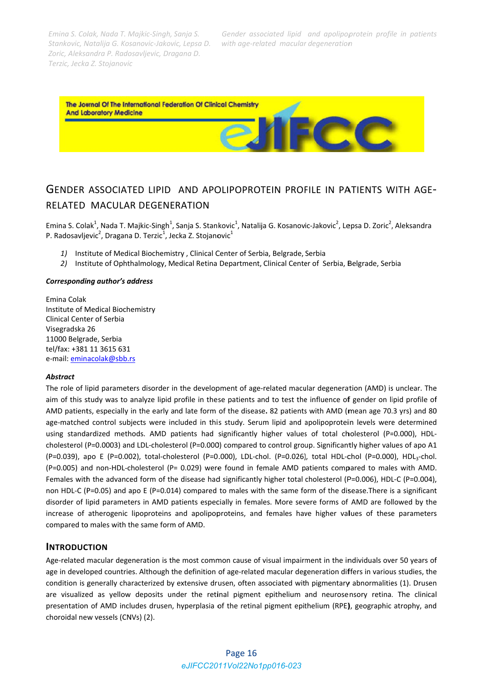*Emina S. Col lak, Nada T. M Majkic‐Singh, S Sanja S. Stankovic, N Natalija G. Kos sanovic‐Jakov ic, Lepsa D. Zoric, Aleksa andra P. Rado osavljevic, Dra agana D. Terzic, Jecka a Z. Stojanovic c*

*Gender associated lipid and apolipoprotein profile in patients with* age-related macular degeneration



# GENDER ASSOCIATED LIPID AND APOLIPOPROTEIN PROFILE IN PATIENTS WITH AGE-RELATED MACULAR DEGENERATION

Emina S. Colak<sup>1</sup>, Nada T. Majkic-Singh<sup>1</sup>, Sanja S. Stankovic<sup>1</sup>, Natalija G. Kosanovic-Jakovic<sup>2</sup>, Lepsa D. Zoric<sup>2</sup>, Aleksandra P. Radosavljevic<sup>2</sup>, Dragana D. Terzic<sup>1</sup>, Jecka Z. Stojanovic<sup>1</sup>

- 1) Institute of Medical Biochemistry, Clinical Center of Serbia, Belgrade, Serbia
- 2) Institute of Ophthalmology, Medical Retina Department, Clinical Center of Serbia, Belgrade, Serbia

#### *Correspondin ng author's a address*

Emina Colak Institute of M Medical Bioch emistry Clinical Center of Serbia Visegradska 26 11000 Belgrade, Serbia tel/fax: +381 1 11 3615 631 e-mail: **eminacolak@sbb.rs** 

#### *Abstract*

The role of lipid parameters disorder in the development of age-related macular degeneration (AMD) is unclear. The aim of this study was to analyze lipid profile in these patients and to test the influence of gender on lipid profile of AMD patients, especially in the early and late form of the disease. 82 patients with AMD (mean age 70.3 yrs) and 80 age-matched control subjects were included in this study. Serum lipid and apolipoprotein levels were determined using standardized methods. AMD patients had significantly higher values of total cholesterol (P=0.000), HDLcholesterol (P=0.0003) and LDL-cholesterol (P=0.000) compared to control group. Significantly higher values of apo A1 (P=0.039), apo E (P=0.002), total-cholesterol (P=0.000), LDL-chol. (P=0.026), total HDL-chol (P=0.000), HDL<sub>3</sub>-chol. (P=0.005) and non-HDL-cholesterol (P= 0.029) were found in female AMD patients compared to males with AMD. Females with the advanced form of the disease had significantly higher total cholesterol (P=0.006), HDL-C (P=0.004), non HDL-C (P=0.05) and apo E (P=0.014) compared to males with the same form of the disease.There is a significant disorder of lipid parameters in AMD patients especially in females. More severe forms of AMD are followed by the increase of atherogenic lipoproteins and apolipoproteins, and females have higher values of these parameters compared to males with the same form of AMD. efod<br>odd<br>L-1.1,h,htesfendald<br>oddald

# **INTRODUCTION**

Age-related macular degeneration is the most common cause of visual impairment in the individuals over 50 years of age in developed countries. Although the definition of age-related macular degeneration differs in various studies, the condition is generally characterized by extensive drusen, often associated with pigmentary abnormalities (1). Drusen are visualized as yellow deposits under the retinal pigment epithelium and neurosensory retina. The clinical presentation of AMD includes drusen, hyperplasia of the retinal pigment epithelium (RPE), geographic atrophy, and choroidal new vessels (CNVs) (2).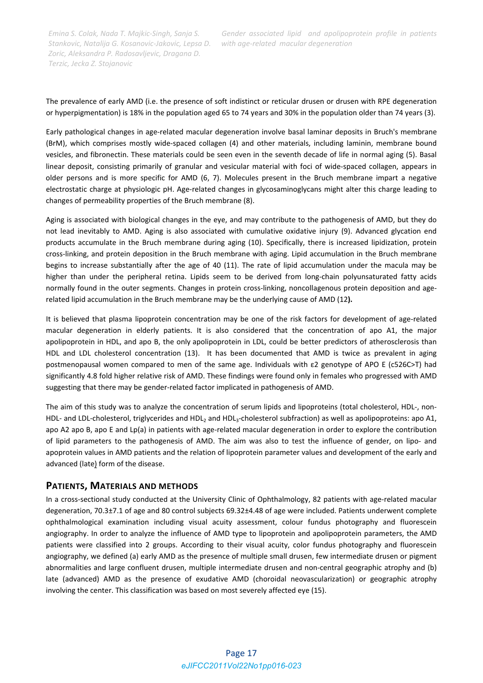*Gender associated lipid and apolipoprotein profile in patients with age‐related macular degeneration*

*Emina S. Colak, Nada T. Majkic‐Singh, Sanja S. Stankovic, Natalija G. Kosanovic‐Jakovic, Lepsa D. Zoric, Aleksandra P. Radosavljevic, Dragana D. Terzic, Jecka Z. Stojanovic*

The prevalence of early AMD (i.e. the presence of soft indistinct or reticular drusen or drusen with RPE degeneration or hyperpigmentation) is 18% in the population aged 65 to 74 years and 30% in the population older than 74 years (3).

Early pathological changes in age‐related macular degeneration involve basal laminar deposits in Bruch's membrane (BrM), which comprises mostly wide‐spaced collagen (4) and other materials, including laminin, membrane bound vesicles, and fibronectin. These materials could be seen even in the seventh decade of life in normal aging (5). Basal linear deposit, consisting primarily of granular and vesicular material with foci of wide‐spaced collagen, appears in older persons and is more specific for AMD (6, 7). Molecules present in the Bruch membrane impart a negative electrostatic charge at physiologic pH. Age‐related changes in glycosaminoglycans might alter this charge leading to changes of permeability properties of the Bruch membrane (8).

Aging is associated with biological changes in the eye, and may contribute to the pathogenesis of AMD, but they do not lead inevitably to AMD. Aging is also associated with cumulative oxidative injury (9). Advanced glycation end products accumulate in the Bruch membrane during aging (10). Specifically, there is increased lipidization, protein cross‐linking, and protein deposition in the Bruch membrane with aging. Lipid accumulation in the Bruch membrane begins to increase substantially after the age of 40 (11). The rate of lipid accumulation under the macula may be higher than under the peripheral retina. Lipids seem to be derived from long-chain polyunsaturated fatty acids normally found in the outer segments. Changes in protein cross-linking, noncollagenous protein deposition and agerelated lipid accumulation in the Bruch membrane may be the underlying cause of AMD (12**).**

It is believed that plasma lipoprotein concentration may be one of the risk factors for development of age-related macular degeneration in elderly patients. It is also considered that the concentration of apo A1, the major apolipoprotein in HDL, and apo B, the only apolipoprotein in LDL, could be better predictors of atherosclerosis than HDL and LDL cholesterol concentration (13). It has been documented that AMD is twice as prevalent in aging postmenopausal women compared to men of the same age. Individuals with ε2 genotype of APO E (c526C>T) had significantly 4.8 fold higher relative risk of AMD. These findings were found only in females who progressed with AMD suggesting that there may be gender‐related factor implicated in pathogenesis of AMD.

The aim of this study was to analyze the concentration of serum lipids and lipoproteins (total cholesterol, HDL-, non-HDL- and LDL-cholesterol, triglycerides and HDL<sub>2</sub> and HDL<sub>3</sub>-cholesterol subfraction) as well as apolipoproteins: apo A1, apo A2 apo B, apo E and Lp(a) in patients with age-related macular degeneration in order to explore the contribution of lipid parameters to the pathogenesis of AMD. The aim was also to test the influence of gender, on lipo‐ and apoprotein values in AMD patients and the relation of lipoprotein parameter values and development of the early and advanced (late) form of the disease.

### **PATIENTS, MATERIALS AND METHODS**

In a cross-sectional study conducted at the University Clinic of Ophthalmology, 82 patients with age-related macular degeneration, 70.3±7.1 of age and 80 control subjects 69.32±4.48 of age were included. Patients underwent complete ophthalmological examination including visual acuity assessment, colour fundus photography and fluorescein angiography. In order to analyze the influence of AMD type to lipoprotein and apolipoprotein parameters, the AMD patients were classified into 2 groups. According to their visual acuity, color fundus photography and fluorescein angiography, we defined (a) early AMD as the presence of multiple small drusen, few intermediate drusen or pigment abnormalities and large confluent drusen, multiple intermediate drusen and non-central geographic atrophy and (b) late (advanced) AMD as the presence of exudative AMD (choroidal neovascularization) or geographic atrophy involving the center. This classification was based on most severely affected eye (15).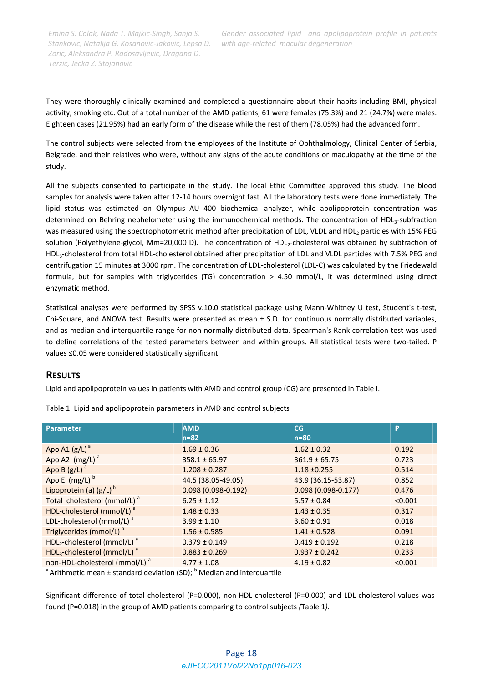*Emina S. Colak, Nada T. Majkic‐Singh, Sanja S. Stankovic, Natalija G. Kosanovic‐Jakovic, Lepsa D. with age‐related macular degeneration Zoric, Aleksandra P. Radosavljevic, Dragana D. Terzic, Jecka Z. Stojanovic*

They were thoroughly clinically examined and completed a questionnaire about their habits including BMI, physical activity, smoking etc. Out of a total number of the AMD patients, 61 were females (75.3%) and 21 (24.7%) were males. Eighteen cases (21.95%) had an early form of the disease while the rest of them (78.05%) had the advanced form.

The control subjects were selected from the employees of the Institute of Ophthalmology, Clinical Center of Serbia, Belgrade, and their relatives who were, without any signs of the acute conditions or maculopathy at the time of the study.

All the subjects consented to participate in the study. The local Ethic Committee approved this study. The blood samples for analysis were taken after 12‐14 hours overnight fast. All the laboratory tests were done immediately. The lipid status was estimated on Olympus AU 400 biochemical analyzer, while apolipoprotein concentration was determined on Behring nephelometer using the immunochemical methods. The concentration of HDL<sub>3</sub>-subfraction was measured using the spectrophotometric method after precipitation of LDL, VLDL and HDL<sub>2</sub> particles with 15% PEG solution (Polyethylene-glycol, Mm=20,000 D). The concentration of HDL<sub>2</sub>-cholesterol was obtained by subtraction of HDL<sub>3</sub>-cholesterol from total HDL-cholesterol obtained after precipitation of LDL and VLDL particles with 7.5% PEG and centrifugation 15 minutes at 3000 rpm. The concentration of LDL‐cholesterol (LDL‐C) was calculated by the Friedewald formula, but for samples with triglycerides (TG) concentration > 4.50 mmol/L, it was determined using direct enzymatic method.

Statistical analyses were performed by SPSS v.10.0 statistical package using Mann-Whitney U test, Student's t-test, Chi-Square, and ANOVA test. Results were presented as mean  $\pm$  S.D. for continuous normally distributed variables, and as median and interquartile range for non‐normally distributed data. Spearman's Rank correlation test was used to define correlations of the tested parameters between and within groups. All statistical tests were two-tailed. P values ≤0.05 were considered statistically significant.

### **RESULTS**

Lipid and apolipoprotein values in patients with AMD and control group (CG) are presented in Table I.

| <b>Parameter</b>                                    | <b>AMD</b>             | CG                     | P       |
|-----------------------------------------------------|------------------------|------------------------|---------|
|                                                     | $n=82$                 | $n=80$                 |         |
| Apo A1 $(g/L)^a$                                    | $1.69 \pm 0.36$        | $1.62 \pm 0.32$        | 0.192   |
| Apo A2 $(mg/L)^a$                                   | $358.1 \pm 65.97$      | $361.9 \pm 65.75$      | 0.723   |
| Apo B $(g/L)^a$                                     | $1.208 \pm 0.287$      | $1.18 \pm 0.255$       | 0.514   |
| Apo E $(mg/L)^{b}$                                  | 44.5 (38.05-49.05)     | 43.9 (36.15-53.87)     | 0.852   |
| Lipoprotein (a) $(g/L)^{b}$                         | $0.098(0.098 - 0.192)$ | $0.098(0.098 - 0.177)$ | 0.476   |
| Total cholesterol (mmol/L) <sup>a</sup>             | $6.25 \pm 1.12$        | $5.57 \pm 0.84$        | < 0.001 |
| HDL-cholesterol (mmol/L) <sup>a</sup>               | $1.48 \pm 0.33$        | $1.43 \pm 0.35$        | 0.317   |
| LDL-cholesterol (mmol/L) <sup>a</sup>               | $3.99 \pm 1.10$        | $3.60 \pm 0.91$        | 0.018   |
| Triglycerides (mmol/L) <sup>a</sup>                 | $1.56 \pm 0.585$       | $1.41 \pm 0.528$       | 0.091   |
| HDL <sub>2</sub> -cholesterol (mmol/L) <sup>a</sup> | $0.379 \pm 0.149$      | $0.419 \pm 0.192$      | 0.218   |
| HDL <sub>3</sub> -cholesterol (mmol/L) <sup>a</sup> | $0.883 \pm 0.269$      | $0.937 \pm 0.242$      | 0.233   |
| non-HDL-cholesterol (mmol/L) <sup>a</sup>           | $4.77 \pm 1.08$        | $4.19 \pm 0.82$        | < 0.001 |

Table 1. Lipid and apolipoprotein parameters in AMD and control subjects

<sup>a</sup> Arithmetic mean ± standard deviation (SD);  $<sup>b</sup>$  Median and interquartile</sup>

Significant difference of total cholesterol (P=0.000), non‐HDL‐cholesterol (P=0.000) and LDL‐cholesterol values was found (P=0.018) in the group of AMD patients comparing to control subjects *(*Table 1*).*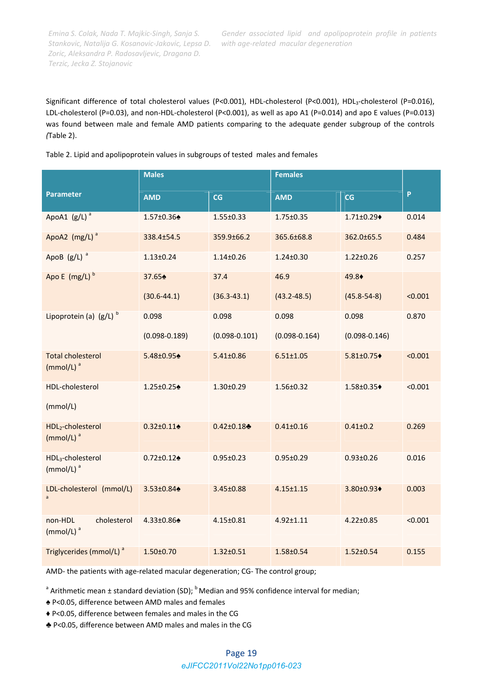*Emina S. Colak, Nada T. Majkic‐Singh, Sanja S. Stankovic, Natalija G. Kosanovic‐Jakovic, Lepsa D. Zoric, Aleksandra P. Radosavljevic, Dragana D. Terzic, Jecka Z. Stojanovic*

Significant difference of total cholesterol values (P<0.001), HDL-cholesterol (P<0.001), HDL<sub>3</sub>-cholesterol (P=0.016), LDL-cholesterol (P=0.03), and non-HDL-cholesterol (P<0.001), as well as apo A1 (P=0.014) and apo E values (P=0.013) was found between male and female AMD patients comparing to the adequate gender subgroup of the controls *(*Table 2).

|                                                          | <b>Males</b>                                |                   | <b>Females</b>    |                   |              |
|----------------------------------------------------------|---------------------------------------------|-------------------|-------------------|-------------------|--------------|
| <b>Parameter</b>                                         | <b>AMD</b>                                  | CG                | <b>AMD</b>        | CG                | $\mathsf{P}$ |
| ApoA1 $(g/L)$ <sup>a</sup>                               | 1.57±0.36 <sup>+</sup>                      | $1.55 \pm 0.33$   | $1.75 \pm 0.35$   | $1.71 \pm 0.29$   | 0.014        |
| ApoA2 (mg/L) <sup>a</sup>                                | 338.4±54.5                                  | 359.9±66.2        | 365.6±68.8        | 362.0±65.5        | 0.484        |
| ApoB (g/L) <sup>a</sup>                                  | $1.13 \pm 0.24$                             | $1.14 \pm 0.26$   | $1.24 \pm 0.30$   | $1.22 \pm 0.26$   | 0.257        |
| Apo E (mg/L) b                                           | 37.65♠                                      | 37.4              | 46.9              | 49.8+             |              |
|                                                          | $(30.6 - 44.1)$                             | $(36.3 - 43.1)$   | $(43.2 - 48.5)$   | $(45.8 - 54 - 8)$ | < 0.001      |
| Lipoprotein (a) $(g/L)$ <sup>b</sup>                     | 0.098                                       | 0.098             | 0.098             | 0.098             | 0.870        |
|                                                          | $(0.098 - 0.189)$                           | $(0.098 - 0.101)$ | $(0.098 - 0.164)$ | $(0.098 - 0.146)$ |              |
| <b>Total cholesterol</b><br>$(mmol/L)$ <sup>a</sup>      | 5.48±0.95 <sup><math>\triangle</math></sup> | $5.41 \pm 0.86$   | $6.51 \pm 1.05$   | $5.81 \pm 0.75$   | < 0.001      |
| HDL-cholesterol<br>(mmol/L)                              | $1.25 \pm 0.25$                             | $1.30 \pm 0.29$   | $1.56 \pm 0.32$   | $1.58 \pm 0.35$   | < 0.001      |
| HDL2-cholesterol<br>$(mmol/L)$ <sup>a</sup>              | $0.32 \pm 0.11$                             | $0.42 \pm 0.18$   | $0.41 \pm 0.16$   | $0.41 \pm 0.2$    | 0.269        |
| HDL <sub>3</sub> -cholesterol<br>$(mmol/L)$ <sup>a</sup> | $0.72 \pm 0.12$                             | $0.95 \pm 0.23$   | $0.95 \pm 0.29$   | $0.93 \pm 0.26$   | 0.016        |
| LDL-cholesterol (mmol/L)<br>$\mathsf{a}$                 | 3.53±0.84 <del>4</del>                      | 3.45±0.88         | $4.15 \pm 1.15$   | 3.80±0.93+        | 0.003        |
| cholesterol<br>non-HDL<br>$(mmol/L)$ <sup>a</sup>        | 4.33±0.86 <sup></sup>                       | $4.15 \pm 0.81$   | $4.92 \pm 1.11$   | $4.22 \pm 0.85$   | < 0.001      |
| Triglycerides (mmol/L) <sup>a</sup>                      | $1.50 \pm 0.70$                             | $1.32 \pm 0.51$   | $1.58 \pm 0.54$   | $1.52 \pm 0.54$   | 0.155        |

AMD- the patients with age-related macular degeneration; CG- The control group;

<sup>a</sup> Arithmetic mean ± standard deviation (SD); <sup>b</sup> Median and 95% confidence interval for median;

♠ P<0.05, difference between AMD males and females

♦ P<0.05, difference between females and males in the CG

♣ P<0.05, difference between AMD males and males in the CG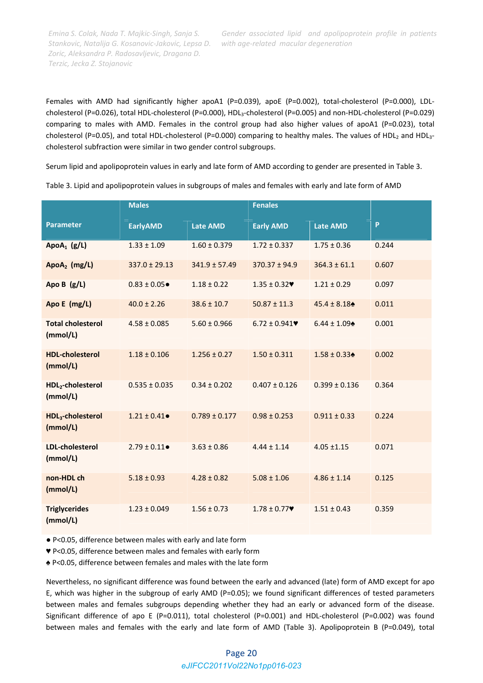*Emina S. Colak, Nada T. Majkic‐Singh, Sanja S. Stankovic, Natalija G. Kosanovic‐Jakovic, Lepsa D. with age‐related macular degeneration Zoric, Aleksandra P. Radosavljevic, Dragana D. Terzic, Jecka Z. Stojanovic*

Females with AMD had significantly higher apoA1 (P=0.039), apoE (P=0.002), total-cholesterol (P=0.000), LDLcholesterol (P=0.026), total HDL-cholesterol (P=0.000), HDL<sub>3</sub>-cholesterol (P=0.005) and non-HDL-cholesterol (P=0.029) comparing to males with AMD. Females in the control group had also higher values of apoA1 (P=0.023), total cholesterol (P=0.05), and total HDL-cholesterol (P=0.000) comparing to healthy males. The values of HDL<sub>2</sub> and HDL<sub>3</sub>cholesterol subfraction were similar in two gender control subgroups.

Serum lipid and apolipoprotein values in early and late form of AMD according to gender are presented in Table 3.

|                                           | <b>Males</b>            |                   | <b>Fenales</b>    |                   |       |
|-------------------------------------------|-------------------------|-------------------|-------------------|-------------------|-------|
| <b>Parameter</b>                          | <b>EarlyAMD</b>         | <b>Late AMD</b>   | <b>Early AMD</b>  | <b>Late AMD</b>   | P     |
| ApoA <sub>1</sub> ( $g/L$ )               | $1.33 \pm 1.09$         | $1.60 \pm 0.379$  | $1.72 \pm 0.337$  | $1.75 \pm 0.36$   | 0.244 |
| Apo $A_2$ (mg/L)                          | $337.0 \pm 29.13$       | $341.9 \pm 57.49$ | $370.37 \pm 94.9$ | $364.3 \pm 61.1$  | 0.607 |
| Apo B (g/L)                               | $0.83 \pm 0.05 \bullet$ | $1.18 \pm 0.22$   | $1.35 \pm 0.32$   | $1.21 \pm 0.29$   | 0.097 |
| Apo E (mg/L)                              | $40.0 \pm 2.26$         | $38.6 \pm 10.7$   | $50.87 \pm 11.3$  | $45.4 \pm 8.18$   | 0.011 |
| <b>Total cholesterol</b><br>(mmol/L)      | $4.58 \pm 0.085$        | $5.60 \pm 0.966$  | $6.72 \pm 0.941$  | $6.44 \pm 1.09$   | 0.001 |
| <b>HDL-cholesterol</b><br>(mmol/L)        | $1.18 \pm 0.106$        | $1.256 \pm 0.27$  | $1.50 \pm 0.311$  | $1.58 \pm 0.33$   | 0.002 |
| HDL2-cholesterol<br>(mmol/L)              | $0.535 \pm 0.035$       | $0.34 \pm 0.202$  | $0.407 \pm 0.126$ | $0.399 \pm 0.136$ | 0.364 |
| HDL <sub>3</sub> -cholesterol<br>(mmol/L) | $1.21 \pm 0.41 \bullet$ | $0.789 \pm 0.177$ | $0.98 \pm 0.253$  | $0.911 \pm 0.33$  | 0.224 |
| LDL-cholesterol<br>(mmol/L)               | $2.79 \pm 0.11 \bullet$ | $3.63 \pm 0.86$   | $4.44 \pm 1.14$   | $4.05 \pm 1.15$   | 0.071 |
| non-HDL ch<br>(mmol/L)                    | $5.18 \pm 0.93$         | $4.28 \pm 0.82$   | $5.08 \pm 1.06$   | $4.86 \pm 1.14$   | 0.125 |
| <b>Triglycerides</b><br>(mmol/L)          | $1.23 \pm 0.049$        | $1.56 \pm 0.73$   | $1.78 \pm 0.77$   | $1.51 \pm 0.43$   | 0.359 |

Table 3. Lipid and apolipoprotein values in subgroups of males and females with early and late form of AMD

● P<0.05, difference between males with early and late form

♥ P<0.05, difference between males and females with early form

♠ P<0.05, difference between females and males with the late form

Nevertheless, no significant difference was found between the early and advanced (late) form of AMD except for apo E, which was higher in the subgroup of early AMD (P=0.05); we found significant differences of tested parameters between males and females subgroups depending whether they had an early or advanced form of the disease. Significant difference of apo E (P=0.011), total cholesterol (P=0.001) and HDL-cholesterol (P=0.002) was found between males and females with the early and late form of AMD (Table 3). Apolipoprotein B (P=0.049), total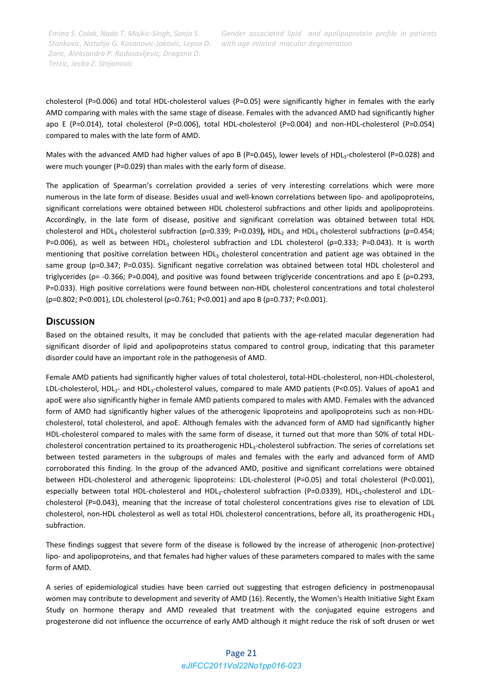*Emina S. Colak, Nada T. Majkic‐Singh, Sanja S. Stankovic, Natalija G. Kosanovic‐Jakovic, Lepsa D. Zoric, Aleksandra P. Radosavljevic, Dragana D. Terzic, Jecka Z. Stojanovic*

cholesterol (P=0.006) and total HDL-cholesterol values (P=0.05) were significantly higher in females with the early AMD comparing with males with the same stage of disease. Females with the advanced AMD had significantly higher apo E (P=0.014), total cholesterol (P=0.006), total HDL‐cholesterol (P=0.004) and non‐HDL‐cholesterol (P=0.054) compared to males with the late form of AMD.

Males with the advanced AMD had higher values of apo B (P=0.045), lower levels of HDL<sub>3</sub>-cholesterol (P=0.028) and were much younger (P=0.029) than males with the early form of disease.

The application of Spearman's correlation provided a series of very interesting correlations which were more numerous in the late form of disease. Besides usual and well-known correlations between lipo- and apolipoproteins, significant correlations were obtained between HDL cholesterol subfractions and other lipids and apolipoproteins. Accordingly, in the late form of disease, positive and significant correlation was obtained between total HDL cholesterol and HDL<sub>3</sub> cholesterol subfraction (ρ=0.339; P=0.039), HDL<sub>2</sub> and HDL<sub>3</sub> cholesterol subfractions (ρ=0.454; P=0.006), as well as between HDL<sub>3</sub> cholesterol subfraction and LDL cholesterol (ρ=0.333; P=0.043). It is worth mentioning that positive correlation between HDL<sub>3</sub> cholesterol concentration and patient age was obtained in the same group (ρ=0.347; P=0.035). Significant negative correlation was obtained between total HDL cholesterol and triglycerides (ρ=  $-0.366$ ; P=0.004), and positive was found between triglyceride concentrations and apo E (ρ=0.293, P=0.033). High positive correlations were found between non‐HDL cholesterol concentrations and total cholesterol (ρ=0.802; P<0.001), LDL cholesterol (ρ=0.761; P<0.001) and apo B (ρ=0.737; P<0.001).

### **DISCUSSION**

Based on the obtained results, it may be concluded that patients with the age-related macular degeneration had significant disorder of lipid and apolipoproteins status compared to control group, indicating that this parameter disorder could have an important role in the pathogenesis of AMD.

Female AMD patients had significantly higher values of total cholesterol, total‐HDL‐cholesterol, non‐HDL‐cholesterol, LDL-cholesterol, HDL<sub>2</sub>- and HDL<sub>3</sub>-cholesterol values, compared to male AMD patients (P<0.05). Values of apoA1 and apoE were also significantly higher in female AMD patients compared to males with AMD. Females with the advanced form of AMD had significantly higher values of the atherogenic lipoproteins and apolipoproteins such as non-HDLcholesterol, total cholesterol, and apoE. Although females with the advanced form of AMD had significantly higher HDL-cholesterol compared to males with the same form of disease, it turned out that more than 50% of total HDLcholesterol concentration pertained to its proatherogenic HDL<sub>3</sub>-cholesterol subfraction. The series of correlations set between tested parameters in the subgroups of males and females with the early and advanced form of AMD corroborated this finding. In the group of the advanced AMD, positive and significant correlations were obtained between HDL-cholesterol and atherogenic lipoproteins: LDL-cholesterol (P=0.05) and total cholesterol (P<0.001), especially between total HDL-cholesterol and HDL<sub>3</sub>-cholesterol subfraction (P=0.0339), HDL<sub>3</sub>-cholesterol and LDLcholesterol (P=0.043), meaning that the increase of total cholesterol concentrations gives rise to elevation of LDL cholesterol, non-HDL cholesterol as well as total HDL cholesterol concentrations, before all, its proatherogenic HDL3 subfraction.

These findings suggest that severe form of the disease is followed by the increase of atherogenic (non‐protective) lipo‐ and apolipoproteins, and that females had higher values of these parameters compared to males with the same form of AMD.

A series of epidemiological studies have been carried out suggesting that estrogen deficiency in postmenopausal women may contribute to development and severity of AMD (16). Recently, the Women's Health Initiative Sight Exam Study on hormone therapy and AMD revealed that treatment with the conjugated equine estrogens and progesterone did not influence the occurrence of early AMD although it might reduce the risk of soft drusen or wet

# Page 21 *eJIFCC2011Vol22No1pp016-023*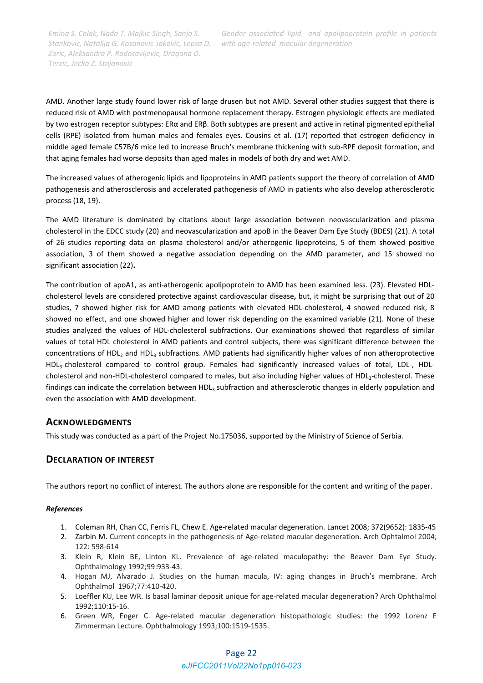*Gender associated lipid and apolipoprotein profile in patients with age‐related macular degeneration*

*Emina S. Colak, Nada T. Majkic‐Singh, Sanja S. Stankovic, Natalija G. Kosanovic‐Jakovic, Lepsa D. Zoric, Aleksandra P. Radosavljevic, Dragana D. Terzic, Jecka Z. Stojanovic*

AMD. Another large study found lower risk of large drusen but not AMD. Several other studies suggest that there is reduced risk of AMD with postmenopausal hormone replacement therapy. Estrogen physiologic effects are mediated by two estrogen receptor subtypes: ERα and ERβ. Both subtypes are present and active in retinal pigmented epithelial cells (RPE) isolated from human males and females eyes. Cousins et al. (17) reported that estrogen deficiency in middle aged female C57B/6 mice led to increase Bruch's membrane thickening with sub‐RPE deposit formation, and that aging females had worse deposits than aged males in models of both dry and wet AMD.

The increased values of atherogenic lipids and lipoproteins in AMD patients support the theory of correlation of AMD pathogenesis and atherosclerosis and accelerated pathogenesis of AMD in patients who also develop atherosclerotic process (18, 19).

The AMD literature is dominated by citations about large association between neovascularization and plasma cholesterol in the EDCC study (20) and neovascularization and apoB in the Beaver Dam Eye Study (BDES) (21). A total of 26 studies reporting data on plasma cholesterol and/or atherogenic lipoproteins, 5 of them showed positive association, 3 of them showed a negative association depending on the AMD parameter, and 15 showed no significant association (22)**.**

The contribution of apoA1, as anti-atherogenic apolipoprotein to AMD has been examined less. (23). Elevated HDLcholesterol levels are considered protective against cardiovascular disease**,** but, it might be surprising that out of 20 studies, 7 showed higher risk for AMD among patients with elevated HDL-cholesterol, 4 showed reduced risk, 8 showed no effect, and one showed higher and lower risk depending on the examined variable (21). None of these studies analyzed the values of HDL‐cholesterol subfractions. Our examinations showed that regardless of similar values of total HDL cholesterol in AMD patients and control subjects, there was significant difference between the concentrations of HDL<sub>2</sub> and HDL<sub>3</sub> subfractions. AMD patients had significantly higher values of non atheroprotective HDL<sub>3</sub>-cholesterol compared to control group. Females had significantly increased values of total, LDL-, HDLcholesterol and non-HDL-cholesterol compared to males, but also including higher values of HDL<sub>3</sub>-cholesterol. These findings can indicate the correlation between HDL3 subfraction and atherosclerotic changes in elderly population and even the association with AMD development.

# **ACKNOWLEDGMENTS**

This study was conducted as a part of the Project No.175036, supported by the Ministry of Science of Serbia.

# **DECLARATION OF INTEREST**

The authors report no conflict of interest. The authors alone are responsible for the content and writing of the paper.

#### *References*

- 1. Coleman RH, Chan CC, Ferris FL, Chew E. Age‐related macular degeneration. Lancet 2008; 372(9652): 1835‐45
- 2. Zarbin M. Current concepts in the pathogenesis of Age-related macular degeneration. Arch Ophtalmol 2004; 122: 598‐614
- 3. Klein R, Klein BE, Linton KL. Prevalence of age-related maculopathy: the Beaver Dam Eye Study. Ophthalmology 1992;99:933‐43.
- 4. Hogan MJ, Alvarado J. Studies on the human macula, IV: aging changes in Bruch's membrane. Arch Ophthalmol 1967;77:410‐420.
- 5. Loeffler KU, Lee WR. Is basal laminar deposit unique for age‐related macular degeneration? Arch Ophthalmol 1992;110:15‐16.
- 6. Green WR, Enger C. Age‐related macular degeneration histopathologic studies: the 1992 Lorenz E Zimmerman Lecture. Ophthalmology 1993;100:1519‐1535.

#### Page 22

### *eJIFCC2011Vol22No1pp016-023*